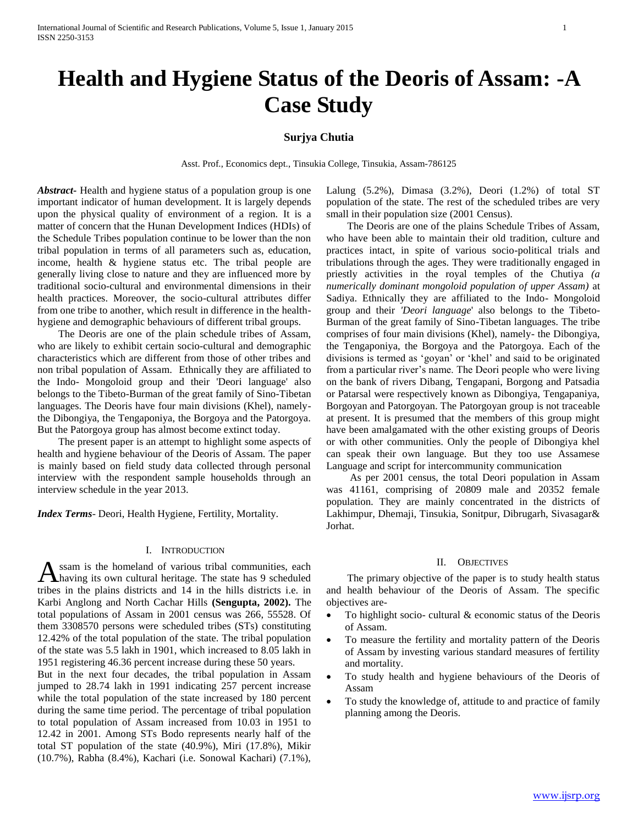# **Health and Hygiene Status of the Deoris of Assam: -A Case Study**

# **Surjya Chutia**

Asst. Prof., Economics dept., Tinsukia College, Tinsukia, Assam-786125

*Abstract***-** Health and hygiene status of a population group is one important indicator of human development. It is largely depends upon the physical quality of environment of a region. It is a matter of concern that the Hunan Development Indices (HDIs) of the Schedule Tribes population continue to be lower than the non tribal population in terms of all parameters such as, education, income, health & hygiene status etc. The tribal people are generally living close to nature and they are influenced more by traditional socio-cultural and environmental dimensions in their health practices. Moreover, the socio-cultural attributes differ from one tribe to another, which result in difference in the healthhygiene and demographic behaviours of different tribal groups.

 The Deoris are one of the plain schedule tribes of Assam, who are likely to exhibit certain socio-cultural and demographic characteristics which are different from those of other tribes and non tribal population of Assam. Ethnically they are affiliated to the Indo- Mongoloid group and their 'Deori language' also belongs to the Tibeto-Burman of the great family of Sino-Tibetan languages. The Deoris have four main divisions (Khel), namelythe Dibongiya, the Tengaponiya, the Borgoya and the Patorgoya. But the Patorgoya group has almost become extinct today.

 The present paper is an attempt to highlight some aspects of health and hygiene behaviour of the Deoris of Assam. The paper is mainly based on field study data collected through personal interview with the respondent sample households through an interview schedule in the year 2013.

*Index Terms*- Deori, Health Hygiene, Fertility, Mortality.

## I. INTRODUCTION

ssam is the homeland of various tribal communities, each having its own cultural heritage. The state has 9 scheduled tribes in the plains districts and 14 in the hills districts i.e. in Karbi Anglong and North Cachar Hills **(Sengupta, 2002).** The total populations of Assam in 2001 census was 266, 55528. Of them 3308570 persons were scheduled tribes (STs) constituting 12.42% of the total population of the state. The tribal population of the state was 5.5 lakh in 1901, which increased to 8.05 lakh in 1951 registering 46.36 percent increase during these 50 years. A

But in the next four decades, the tribal population in Assam jumped to 28.74 lakh in 1991 indicating 257 percent increase while the total population of the state increased by 180 percent during the same time period. The percentage of tribal population to total population of Assam increased from 10.03 in 1951 to 12.42 in 2001. Among STs Bodo represents nearly half of the total ST population of the state (40.9%), Miri (17.8%), Mikir (10.7%), Rabha (8.4%), Kachari (i.e. Sonowal Kachari) (7.1%),

Lalung (5.2%), Dimasa (3.2%), Deori (1.2%) of total ST population of the state. The rest of the scheduled tribes are very small in their population size (2001 Census).

 The Deoris are one of the plains Schedule Tribes of Assam, who have been able to maintain their old tradition, culture and practices intact, in spite of various socio-political trials and tribulations through the ages. They were traditionally engaged in priestly activities in the royal temples of the Chutiya *(a numerically dominant mongoloid population of upper Assam)* at Sadiya. Ethnically they are affiliated to the Indo- Mongoloid group and their *'Deori language*' also belongs to the Tibeto-Burman of the great family of Sino-Tibetan languages. The tribe comprises of four main divisions (Khel), namely- the Dibongiya, the Tengaponiya, the Borgoya and the Patorgoya. Each of the divisions is termed as 'goyan' or 'khel' and said to be originated from a particular river's name. The Deori people who were living on the bank of rivers Dibang, Tengapani, Borgong and Patsadia or Patarsal were respectively known as Dibongiya, Tengapaniya, Borgoyan and Patorgoyan. The Patorgoyan group is not traceable at present. It is presumed that the members of this group might have been amalgamated with the other existing groups of Deoris or with other communities. Only the people of Dibongiya khel can speak their own language. But they too use Assamese Language and script for intercommunity communication

 As per 2001 census, the total Deori population in Assam was 41161, comprising of 20809 male and 20352 female population. They are mainly concentrated in the districts of Lakhimpur, Dhemaji, Tinsukia, Sonitpur, Dibrugarh, Sivasagar& Jorhat.

# II. OBJECTIVES

 The primary objective of the paper is to study health status and health behaviour of the Deoris of Assam. The specific objectives are-

- To highlight socio- cultural & economic status of the Deoris of Assam.
- To measure the fertility and mortality pattern of the Deoris of Assam by investing various standard measures of fertility and mortality.
- To study health and hygiene behaviours of the Deoris of Assam
- To study the knowledge of, attitude to and practice of family planning among the Deoris.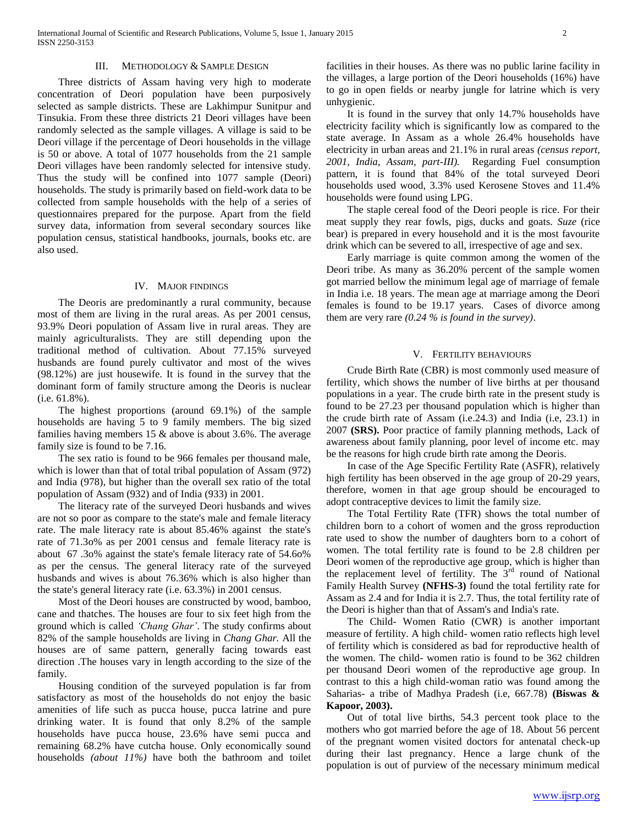## III. METHODOLOGY & SAMPLE DESIGN

 Three districts of Assam having very high to moderate concentration of Deori population have been purposively selected as sample districts. These are Lakhimpur Sunitpur and Tinsukia. From these three districts 21 Deori villages have been randomly selected as the sample villages. A village is said to be Deori village if the percentage of Deori households in the village is 50 or above. A total of 1077 households from the 21 sample Deori villages have been randomly selected for intensive study. Thus the study will be confined into 1077 sample (Deori) households. The study is primarily based on field-work data to be collected from sample households with the help of a series of questionnaires prepared for the purpose. Apart from the field survey data, information from several secondary sources like population census, statistical handbooks, journals, books etc. are also used.

## IV. MAJOR FINDINGS

 The Deoris are predominantly a rural community, because most of them are living in the rural areas. As per 2001 census, 93.9% Deori population of Assam live in rural areas. They are mainly agriculturalists. They are still depending upon the traditional method of cultivation. About 77.15% surveyed husbands are found purely cultivator and most of the wives (98.12%) are just housewife. It is found in the survey that the dominant form of family structure among the Deoris is nuclear (i.e. 61.8%).

 The highest proportions (around 69.1%) of the sample households are having 5 to 9 family members. The big sized families having members 15 & above is about 3.6%. The average family size is found to be 7.16.

 The sex ratio is found to be 966 females per thousand male, which is lower than that of total tribal population of Assam (972) and India (978), but higher than the overall sex ratio of the total population of Assam (932) and of India (933) in 2001.

 The literacy rate of the surveyed Deori husbands and wives are not so poor as compare to the state's male and female literacy rate. The male literacy rate is about 85.46% against the state's rate of 71.3o% as per 2001 census and female literacy rate is about 67 .3o% against the state's female literacy rate of 54.6o% as per the census. The general literacy rate of the surveyed husbands and wives is about 76.36% which is also higher than the state's general literacy rate (i.e. 63.3%) in 2001 census.

 Most of the Deori houses are constructed by wood, bamboo, cane and thatches. The houses are four to six feet high from the ground which is called *'Chang Ghar'*. The study confirms about 82% of the sample households are living in *Chang Ghar.* All the houses are of same pattern, generally facing towards east direction .The houses vary in length according to the size of the family.

 Housing condition of the surveyed population is far from satisfactory as most of the households do not enjoy the basic amenities of life such as pucca house, pucca latrine and pure drinking water. It is found that only 8.2% of the sample households have pucca house, 23.6% have semi pucca and remaining 68.2% have cutcha house. Only economically sound households *(about 11%)* have both the bathroom and toilet facilities in their houses. As there was no public larine facility in the villages, a large portion of the Deori households (16%) have to go in open fields or nearby jungle for latrine which is very unhygienic.

 It is found in the survey that only 14.7% households have electricity facility which is significantly low as compared to the state average. In Assam as a whole 26.4% households have electricity in urban areas and 21.1% in rural areas *(census report, 2001, India, Assam, part-III).* Regarding Fuel consumption pattern, it is found that 84% of the total surveyed Deori households used wood, 3.3% used Kerosene Stoves and 11.4% households were found using LPG.

 The staple cereal food of the Deori people is rice. For their meat supply they rear fowls, pigs, ducks and goats. *Suze* (rice bear) is prepared in every household and it is the most favourite drink which can be severed to all, irrespective of age and sex.

 Early marriage is quite common among the women of the Deori tribe. As many as 36.20% percent of the sample women got married bellow the minimum legal age of marriage of female in India i.e. 18 years. The mean age at marriage among the Deori females is found to be 19.17 years. Cases of divorce among them are very rare *(0.24 % is found in the survey)*.

#### V. FERTILITY BEHAVIOURS

 Crude Birth Rate (CBR) is most commonly used measure of fertility, which shows the number of live births at per thousand populations in a year. The crude birth rate in the present study is found to be 27.23 per thousand population which is higher than the crude birth rate of Assam (i.e.24.3) and India (i.e, 23.1) in 2007 **(SRS).** Poor practice of family planning methods, Lack of awareness about family planning, poor level of income etc. may be the reasons for high crude birth rate among the Deoris.

 In case of the Age Specific Fertility Rate (ASFR), relatively high fertility has been observed in the age group of 20-29 years, therefore, women in that age group should be encouraged to adopt contraceptive devices to limit the family size.

 The Total Fertility Rate (TFR) shows the total number of children born to a cohort of women and the gross reproduction rate used to show the number of daughters born to a cohort of women. The total fertility rate is found to be 2.8 children per Deori women of the reproductive age group, which is higher than the replacement level of fertility. The  $3<sup>rd</sup>$  round of National Family Health Survey **(NFHS-3)** found the total fertility rate for Assam as 2.4 and for India it is 2.7. Thus, the total fertility rate of the Deori is higher than that of Assam's and India's rate.

 The Child- Women Ratio (CWR) is another important measure of fertility. A high child- women ratio reflects high level of fertility which is considered as bad for reproductive health of the women. The child- women ratio is found to be 362 children per thousand Deori women of the reproductive age group. In contrast to this a high child-woman ratio was found among the Saharias- a tribe of Madhya Pradesh (i.e, 667.78) **(Biswas & Kapoor, 2003).**

 Out of total live births, 54.3 percent took place to the mothers who got married before the age of 18. About 56 percent of the pregnant women visited doctors for antenatal check-up during their last pregnancy. Hence a large chunk of the population is out of purview of the necessary minimum medical